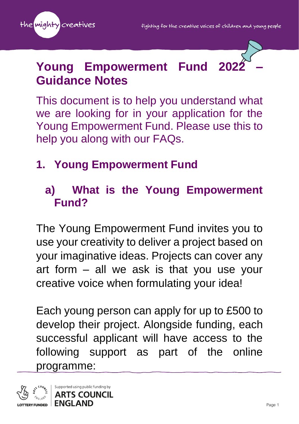



### **Young Empowerment Fund Guidance Notes**

This document is to help you understand what we are looking for in your application for the Young Empowerment Fund. Please use this to help you along with our FAQs.

### **1. Young Empowerment Fund**

#### **a) What is the Young Empowerment Fund?**

The Young Empowerment Fund invites you to use your creativity to deliver a project based on your imaginative ideas. Projects can cover any art form – all we ask is that you use your creative voice when formulating your idea!

Each young person can apply for up to £500 to develop their project. Alongside funding, each successful applicant will have access to the following support as part of the online programme:

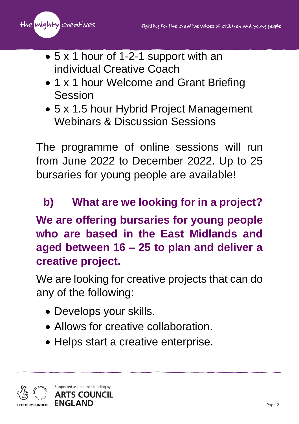the <mark>mighty</mark> creatives

- 5 x 1 hour of 1-2-1 support with an individual Creative Coach
- 1 x 1 hour Welcome and Grant Briefing Session
- 5 x 1.5 hour Hybrid Project Management Webinars & Discussion Sessions

The programme of online sessions will run from June 2022 to December 2022. Up to 25 bursaries for young people are available!

# **b) What are we looking for in a project? We are offering bursaries for young people who are based in the East Midlands and aged between 16 – 25 to plan and deliver a creative project.**

We are looking for creative projects that can do any of the following:

- Develops your skills.
- Allows for creative collaboration.
- Helps start a creative enterprise.

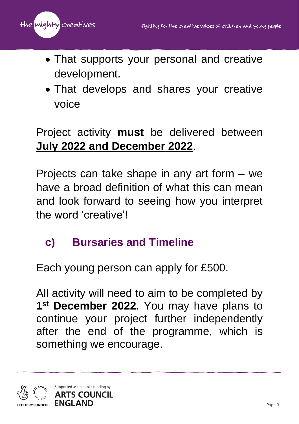

- That supports your personal and creative development.
- That develops and shares your creative voice

#### Project activity **must** be delivered between **July 2022 and December 2022**.

Projects can take shape in any art form – we have a broad definition of what this can mean and look forward to seeing how you interpret the word 'creative'!

#### **c) Bursaries and Timeline**

Each young person can apply for £500.

All activity will need to aim to be completed by **1 st December 2022.** You may have plans to continue your project further independently after the end of the programme, which is something we encourage.

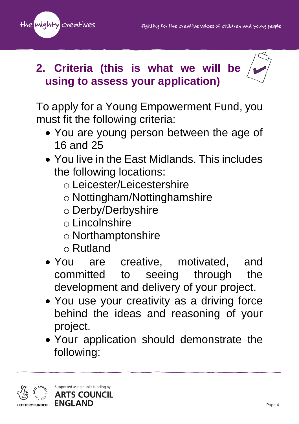



#### **2. Criteria (this is what we will be using to assess your application)**

To apply for a Young Empowerment Fund, you must fit the following criteria:

- You are young person between the age of 16 and 25
- You live in the East Midlands. This includes the following locations:
	- o Leicester/Leicestershire
	- o Nottingham/Nottinghamshire
	- o Derby/Derbyshire
	- o Lincolnshire
	- o Northamptonshire
	- o Rutland
- You are creative, motivated, and committed to seeing through the development and delivery of your project.
- You use your creativity as a driving force behind the ideas and reasoning of your project.
- Your application should demonstrate the following:

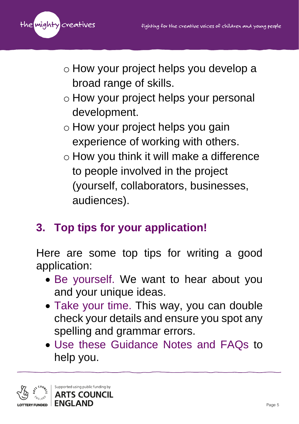

- o How your project helps you develop a broad range of skills.
- o How your project helps your personal development.
- o How your project helps you gain experience of working with others.
- o How you think it will make a difference to people involved in the project (yourself, collaborators, businesses, audiences).

## **3. Top tips for your application!**

Here are some top tips for writing a good application:

- Be yourself. We want to hear about you and your unique ideas.
- Take your time. This way, you can double check your details and ensure you spot any spelling and grammar errors.
- Use these Guidance Notes and FAQs to help you.

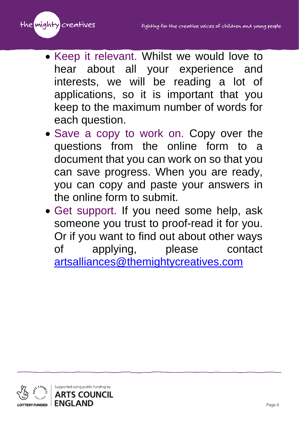

- Keep it relevant. Whilst we would love to hear about all your experience and interests, we will be reading a lot of applications, so it is important that you keep to the maximum number of words for each question.
- Save a copy to work on. Copy over the questions from the online form to a document that you can work on so that you can save progress. When you are ready, you can copy and paste your answers in the online form to submit.
- Get support. If you need some help, ask someone you trust to proof-read it for you. Or if you want to find out about other ways of applying, please contact [artsalliances@themightycreatives.com](mailto:artsalliances@themightycreatives.com)

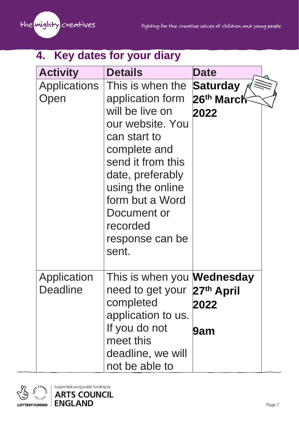

#### **4. Key dates for your diary**

| <b>Activity</b>                | <b>Details</b>                                                                                                                                                                                                                                     | <b>Date</b>                                       |  |
|--------------------------------|----------------------------------------------------------------------------------------------------------------------------------------------------------------------------------------------------------------------------------------------------|---------------------------------------------------|--|
| <b>Applications</b><br>Open    | This is when the<br>application form<br>will be live on<br>our website. You<br>can start to<br>complete and<br>send it from this<br>date, preferably<br>using the online<br>form but a Word<br>Document or<br>recorded<br>response can be<br>sent. | <b>Saturday</b><br>26 <sup>th</sup> March<br>2022 |  |
| Application<br><b>Deadline</b> | need to get your 27th April<br>completed<br>application to us.<br>If you do not<br>meet this<br>deadline, we will<br>not be able to                                                                                                                | This is when you <b>Wednesday</b><br>2022<br>9am  |  |



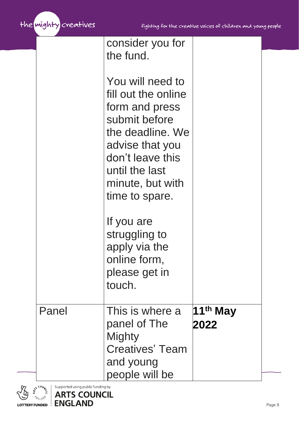

|       | consider you for<br>the fund.<br>You will need to<br>fill out the online<br>form and press<br>submit before<br>the deadline. We<br>advise that you<br>don't leave this<br>until the last<br>minute, but with<br>time to spare.<br>If you are<br>struggling to<br>apply via the<br>online form,<br>please get in<br>touch. |                      |
|-------|---------------------------------------------------------------------------------------------------------------------------------------------------------------------------------------------------------------------------------------------------------------------------------------------------------------------------|----------------------|
| Panel | This is where a                                                                                                                                                                                                                                                                                                           | 11 <sup>th</sup> May |
|       | panel of The                                                                                                                                                                                                                                                                                                              | 2022                 |

**Mighty** 

and young

people will be

Creatives' Team

 $\frac{1}{2}$ Supported using public funding by

**ARTS COUNCIL ENGLAND** 

**ENGLAND** LOTTERY FUNDED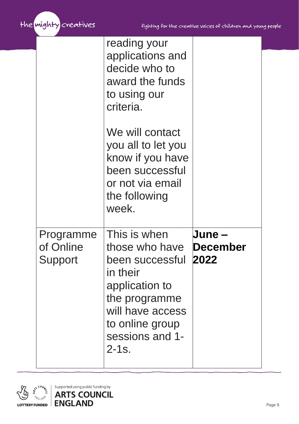

|                                          | reading your<br>applications and<br>decide who to<br>award the funds<br>to using our<br>criteria.<br>We will contact<br>you all to let you<br>know if you have<br>been successful<br>or not via email<br>the following<br>week. |                       |
|------------------------------------------|---------------------------------------------------------------------------------------------------------------------------------------------------------------------------------------------------------------------------------|-----------------------|
| Programme<br>of Online<br><b>Support</b> | This is when<br>those who have <b>December</b><br>been successful<br>in their<br>application to<br>the programme<br>will have access<br>to online group<br>sessions and 1-<br>$2 - 1s$ .                                        | <b>June –</b><br>2022 |